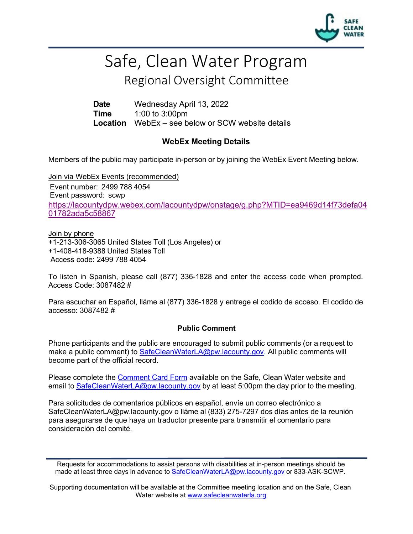

# Safe, Clean Water Program

## Regional Oversight Committee

**Date** Wednesday April 13, 2022 **Time** 1:00 to 3:00pm **Location** WebEx – see below or SCW website details

#### **WebEx Meeting Details**

Members of the public may participate in-person or by joining the WebEx Event Meeting below.

Join via WebEx Events (recommended) Event number: 2499 788 4054 Event password: scwp [https://lacountydpw.webex.com/lacountydpw/onstage/g.php?MTID=ea9469d14f73defa04](https://lacountydpw.webex.com/lacountydpw/onstage/g.php?MTID=ea9469d14f73defa0401782ada5c58867) [01782ada5c58867](https://lacountydpw.webex.com/lacountydpw/onstage/g.php?MTID=ea9469d14f73defa0401782ada5c58867)

Join by phone +1-213-306-3065 United States Toll (Los Angeles) or +1-408-418-9388 United States Toll Access code: 2499 788 4054

To listen in Spanish, please call (877) 336-1828 and enter the access code when prompted. Access Code: 3087482 #

Para escuchar en Español, lláme al (877) 336-1828 y entrege el codido de acceso. El codido de accesso: 3087482 #

#### **Public Comment**

Phone participants and the public are encouraged to submit public comments (or a request to make a public comment) to **SafeCleanWaterLA@pw.lacounty.gov.** All public comments will become part of the official record.

Please complete the Comment Card Form available on the Safe, Clean Water website and email to [SafeCleanWaterLA@pw.lacounty.gov](mailto:SafeCleanWaterLA@pw.lacounty.gov) by at least 5:00pm the day prior to the meeting.

Para solicitudes de comentarios públicos en español, envíe un correo electrónico a [SafeCleanWaterLA@pw.lacounty.gov](mailto:SafeCleanWaterLA@pw.lacounty.gov) o lláme al (833) 275-7297 dos días antes de la reunión para asegurarse de que haya un traductor presente para transmitir el comentario para consideración del comité.

Supporting documentation will be available at the Committee meeting location and on the Safe, Clean Water website at [www.safecleanwaterla.org](http://www.safecleanwaterla.org/)

Requests for accommodations to assist persons with disabilities at in-person meetings should be made at least three days in advance to [SafeCleanWaterLA@pw.lacounty.gov](mailto:SafeCleanWaterLA@pw.lacounty.gov) or 833-ASK-SCWP.